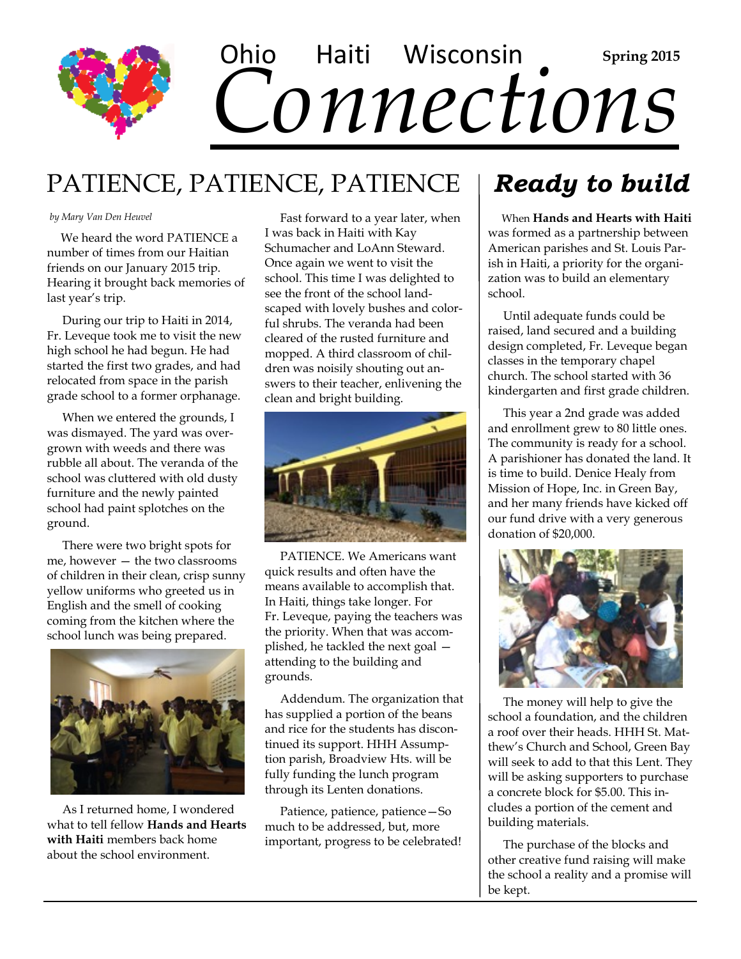

# PATIENCE, PATIENCE, PATIENCE

#### *by Mary Van Den Heuvel*

 We heard the word PATIENCE a number of times from our Haitian friends on our January 2015 trip. Hearing it brought back memories of last year's trip.

 During our trip to Haiti in 2014, Fr. Leveque took me to visit the new high school he had begun. He had started the first two grades, and had relocated from space in the parish grade school to a former orphanage.

 When we entered the grounds, I was dismayed. The yard was overgrown with weeds and there was rubble all about. The veranda of the school was cluttered with old dusty furniture and the newly painted school had paint splotches on the ground.

 There were two bright spots for me, however — the two classrooms of children in their clean, crisp sunny yellow uniforms who greeted us in English and the smell of cooking coming from the kitchen where the school lunch was being prepared.



 As I returned home, I wondered what to tell fellow **Hands and Hearts with Haiti** members back home about the school environment.

 Fast forward to a year later, when I was back in Haiti with Kay Schumacher and LoAnn Steward. Once again we went to visit the school. This time I was delighted to see the front of the school landscaped with lovely bushes and colorful shrubs. The veranda had been cleared of the rusted furniture and mopped. A third classroom of children was noisily shouting out answers to their teacher, enlivening the clean and bright building.



 PATIENCE. We Americans want quick results and often have the means available to accomplish that. In Haiti, things take longer. For Fr. Leveque, paying the teachers was the priority. When that was accomplished, he tackled the next goal attending to the building and grounds.

 Addendum. The organization that has supplied a portion of the beans and rice for the students has discontinued its support. HHH Assumption parish, Broadview Hts. will be fully funding the lunch program through its Lenten donations.

 Patience, patience, patience—So much to be addressed, but, more important, progress to be celebrated!

# *Ready to build*

 When **Hands and Hearts with Haiti**  was formed as a partnership between American parishes and St. Louis Parish in Haiti, a priority for the organization was to build an elementary school.

 Until adequate funds could be raised, land secured and a building design completed, Fr. Leveque began classes in the temporary chapel church. The school started with 36 kindergarten and first grade children.

 This year a 2nd grade was added and enrollment grew to 80 little ones. The community is ready for a school. A parishioner has donated the land. It is time to build. Denice Healy from Mission of Hope, Inc. in Green Bay, and her many friends have kicked off our fund drive with a very generous donation of \$20,000.



 The money will help to give the school a foundation, and the children a roof over their heads. HHH St. Matthew's Church and School, Green Bay will seek to add to that this Lent. They will be asking supporters to purchase a concrete block for \$5.00. This includes a portion of the cement and building materials.

 The purchase of the blocks and other creative fund raising will make the school a reality and a promise will be kept.